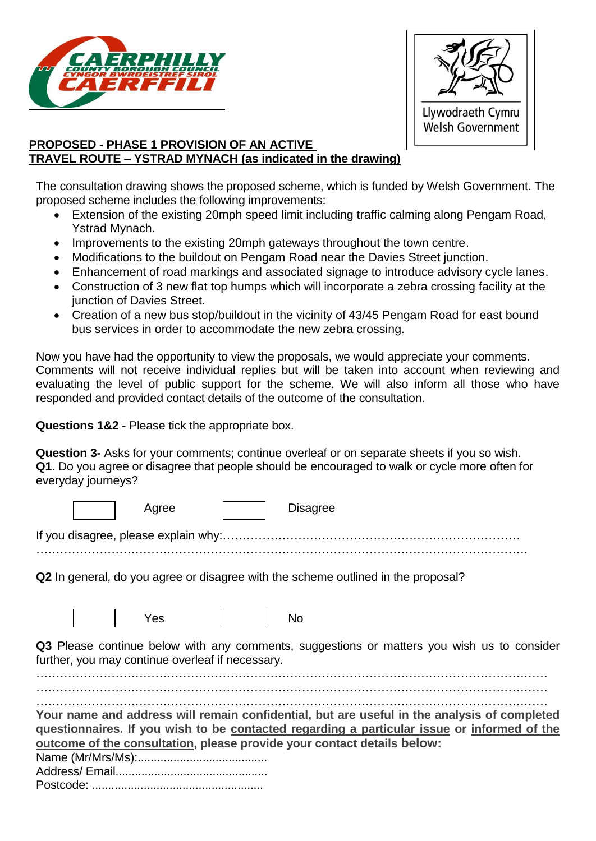



# **PROPOSED - PHASE 1 PROVISION OF AN ACTIVE TRAVEL ROUTE – YSTRAD MYNACH (as indicated in the drawing)**

The consultation drawing shows the proposed scheme, which is funded by Welsh Government. The proposed scheme includes the following improvements:

- Extension of the existing 20mph speed limit including traffic calming along Pengam Road, Ystrad Mynach.
- Improvements to the existing 20mph gateways throughout the town centre.
- Modifications to the buildout on Pengam Road near the Davies Street junction.
- Enhancement of road markings and associated signage to introduce advisory cycle lanes.
- Construction of 3 new flat top humps which will incorporate a zebra crossing facility at the junction of Davies Street.
- Creation of a new bus stop/buildout in the vicinity of 43/45 Pengam Road for east bound bus services in order to accommodate the new zebra crossing.

Now you have had the opportunity to view the proposals, we would appreciate your comments. Comments will not receive individual replies but will be taken into account when reviewing and evaluating the level of public support for the scheme. We will also inform all those who have responded and provided contact details of the outcome of the consultation.

**Questions 1&2 -** Please tick the appropriate box.

**Question 3-** Asks for your comments; continue overleaf or on separate sheets if you so wish. **Q1**. Do you agree or disagree that people should be encouraged to walk or cycle more often for everyday journeys?

| <b>Disagree</b><br>Agree                                                                                                                                                                                                                                              |  |  |  |
|-----------------------------------------------------------------------------------------------------------------------------------------------------------------------------------------------------------------------------------------------------------------------|--|--|--|
|                                                                                                                                                                                                                                                                       |  |  |  |
| <b>Q2</b> In general, do you agree or disagree with the scheme outlined in the proposal?                                                                                                                                                                              |  |  |  |
| Yes<br><b>No</b>                                                                                                                                                                                                                                                      |  |  |  |
| Q3 Please continue below with any comments, suggestions or matters you wish us to consider<br>further, you may continue overleaf if necessary.                                                                                                                        |  |  |  |
| Your name and address will remain confidential, but are useful in the analysis of completed<br>questionnaires. If you wish to be contacted regarding a particular issue or informed of the<br>outcome of the consultation, please provide your contact details below: |  |  |  |